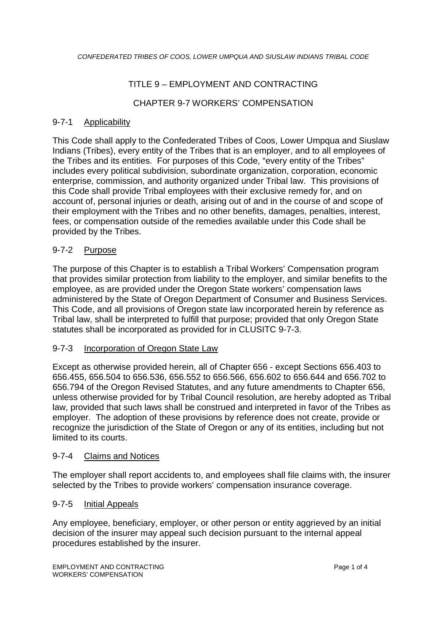## TITLE 9 – EMPLOYMENT AND CONTRACTING

## CHAPTER 9-7 WORKERS' COMPENSATION

## 9-7-1 Applicability

This Code shall apply to the Confederated Tribes of Coos, Lower Umpqua and Siuslaw Indians (Tribes), every entity of the Tribes that is an employer, and to all employees of the Tribes and its entities. For purposes of this Code, "every entity of the Tribes" includes every political subdivision, subordinate organization, corporation, economic enterprise, commission, and authority organized under Tribal law. This provisions of this Code shall provide Tribal employees with their exclusive remedy for, and on account of, personal injuries or death, arising out of and in the course of and scope of their employment with the Tribes and no other benefits, damages, penalties, interest, fees, or compensation outside of the remedies available under this Code shall be provided by the Tribes.

## 9-7-2 Purpose

The purpose of this Chapter is to establish a Tribal Workers' Compensation program that provides similar protection from liability to the employer, and similar benefits to the employee, as are provided under the Oregon State workers' compensation laws administered by the State of Oregon Department of Consumer and Business Services. This Code, and all provisions of Oregon state law incorporated herein by reference as Tribal law, shall be interpreted to fulfill that purpose; provided that only Oregon State statutes shall be incorporated as provided for in CLUSITC 9-7-3.

#### 9-7-3 Incorporation of Oregon State Law

Except as otherwise provided herein, all of Chapter 656 - except Sections 656.403 to 656.455, 656.504 to 656.536, 656.552 to 656.566, 656.602 to 656.644 and 656.702 to 656.794 of the Oregon Revised Statutes, and any future amendments to Chapter 656, unless otherwise provided for by Tribal Council resolution, are hereby adopted as Tribal law, provided that such laws shall be construed and interpreted in favor of the Tribes as employer. The adoption of these provisions by reference does not create, provide or recognize the jurisdiction of the State of Oregon or any of its entities, including but not limited to its courts.

#### 9-7-4 Claims and Notices

The employer shall report accidents to, and employees shall file claims with, the insurer selected by the Tribes to provide workers' compensation insurance coverage.

#### 9-7-5 Initial Appeals

Any employee, beneficiary, employer, or other person or entity aggrieved by an initial decision of the insurer may appeal such decision pursuant to the internal appeal procedures established by the insurer.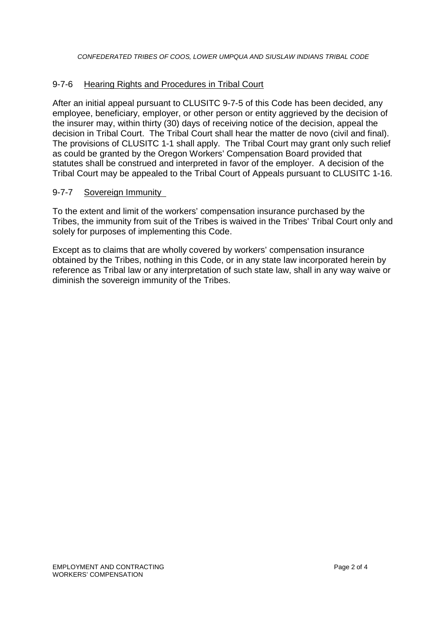## 9-7-6 Hearing Rights and Procedures in Tribal Court

After an initial appeal pursuant to CLUSITC 9-7-5 of this Code has been decided, any employee, beneficiary, employer, or other person or entity aggrieved by the decision of the insurer may, within thirty (30) days of receiving notice of the decision, appeal the decision in Tribal Court. The Tribal Court shall hear the matter de novo (civil and final). The provisions of CLUSITC 1-1 shall apply. The Tribal Court may grant only such relief as could be granted by the Oregon Workers' Compensation Board provided that statutes shall be construed and interpreted in favor of the employer. A decision of the Tribal Court may be appealed to the Tribal Court of Appeals pursuant to CLUSITC 1-16.

#### 9-7-7 Sovereign Immunity

To the extent and limit of the workers' compensation insurance purchased by the Tribes, the immunity from suit of the Tribes is waived in the Tribes' Tribal Court only and solely for purposes of implementing this Code.

Except as to claims that are wholly covered by workers' compensation insurance obtained by the Tribes, nothing in this Code, or in any state law incorporated herein by reference as Tribal law or any interpretation of such state law, shall in any way waive or diminish the sovereign immunity of the Tribes.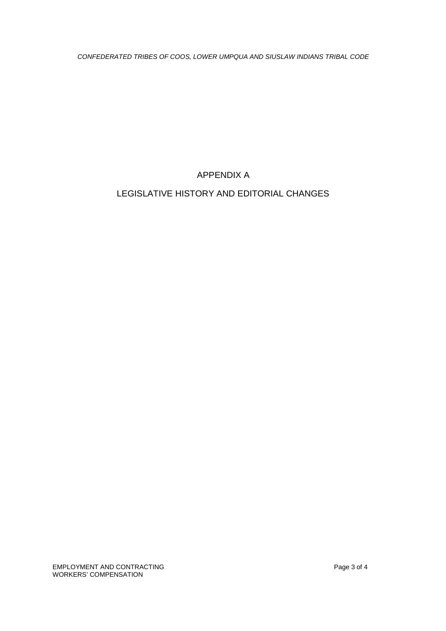*CONFEDERATED TRIBES OF COOS, LOWER UMPQUA AND SIUSLAW INDIANS TRIBAL CODE*

APPENDIX A

# LEGISLATIVE HISTORY AND EDITORIAL CHANGES

EMPLOYMENT AND CONTRACTING **Page 3 of 4** WORKERS' COMPENSATION